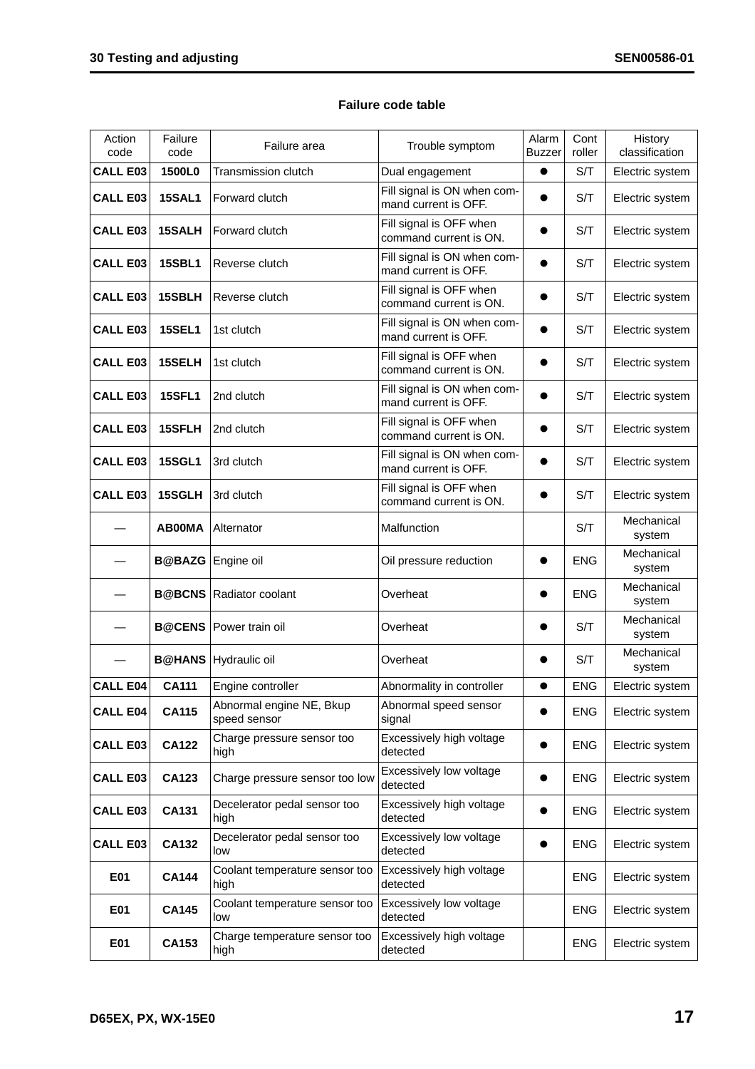## **Failure code table**

| Action<br>code  | Failure<br>code          | Failure area                             | Trouble symptom                                     | Alarm<br><b>Buzzer</b> | Cont<br>roller | History<br>classification |
|-----------------|--------------------------|------------------------------------------|-----------------------------------------------------|------------------------|----------------|---------------------------|
| <b>CALL E03</b> | 1500L0                   | Transmission clutch                      | Dual engagement                                     | $\bullet$              | S/T            | Electric system           |
| <b>CALL E03</b> | <b>15SAL1</b>            | Forward clutch                           | Fill signal is ON when com-<br>mand current is OFF. |                        | S/T            | Electric system           |
| <b>CALL E03</b> | 15SALH                   | Forward clutch                           | Fill signal is OFF when<br>command current is ON.   |                        | S/T            | Electric system           |
| <b>CALL E03</b> | <b>15SBL1</b>            | Reverse clutch                           | Fill signal is ON when com-<br>mand current is OFF. |                        | S/T            | Electric system           |
| <b>CALL E03</b> | 15SBLH                   | Reverse clutch                           | Fill signal is OFF when<br>command current is ON.   |                        | S/T            | Electric system           |
| <b>CALL E03</b> | <b>15SEL1</b>            | 1st clutch                               | Fill signal is ON when com-<br>mand current is OFF. |                        | S/T            | Electric system           |
| <b>CALL E03</b> | 15SELH                   | 1st clutch                               | Fill signal is OFF when<br>command current is ON.   |                        | S/T            | Electric system           |
| <b>CALL E03</b> | <b>15SFL1</b>            | 2nd clutch                               | Fill signal is ON when com-<br>mand current is OFF. |                        | S/T            | Electric system           |
| <b>CALL E03</b> | 15SFLH                   | 2nd clutch                               | Fill signal is OFF when<br>command current is ON.   |                        | S/T            | Electric system           |
| <b>CALL E03</b> | <b>15SGL1</b>            | 3rd clutch                               | Fill signal is ON when com-<br>mand current is OFF. |                        | S/T            | Electric system           |
| <b>CALL E03</b> | 15SGLH                   | 3rd clutch                               | Fill signal is OFF when<br>command current is ON.   |                        | S/T            | Electric system           |
|                 | <b>AB00MA</b>            | Alternator                               | Malfunction                                         |                        | S/T            | Mechanical<br>system      |
|                 | <b>B@BAZG</b> Engine oil |                                          | Oil pressure reduction                              |                        | <b>ENG</b>     | Mechanical<br>system      |
|                 |                          | <b>B@BCNS   Radiator coolant</b>         | Overheat                                            |                        | <b>ENG</b>     | Mechanical<br>system      |
|                 | <b>B@CENS</b>            | Power train oil                          | Overheat                                            |                        | S/T            | Mechanical<br>system      |
|                 |                          | <b>B@HANS</b> Hydraulic oil              | Overheat                                            |                        | S/T            | Mechanical<br>system      |
| <b>CALL E04</b> | <b>CA111</b>             | Engine controller                        | Abnormality in controller                           |                        | <b>ENG</b>     | Electric system           |
| <b>CALL E04</b> | <b>CA115</b>             | Abnormal engine NE, Bkup<br>speed sensor | Abnormal speed sensor<br>signal                     |                        | <b>ENG</b>     | Electric system           |
| <b>CALL E03</b> | <b>CA122</b>             | Charge pressure sensor too<br>high       | Excessively high voltage<br>detected                |                        | <b>ENG</b>     | Electric system           |
| <b>CALL E03</b> | CA123                    | Charge pressure sensor too low           | Excessively low voltage<br>detected                 |                        | <b>ENG</b>     | Electric system           |
| <b>CALL E03</b> | <b>CA131</b>             | Decelerator pedal sensor too<br>high     | Excessively high voltage<br>detected                |                        | <b>ENG</b>     | Electric system           |
| <b>CALL E03</b> | <b>CA132</b>             | Decelerator pedal sensor too<br>low      | Excessively low voltage<br>detected                 |                        | <b>ENG</b>     | Electric system           |
| E01             | <b>CA144</b>             | Coolant temperature sensor too<br>high   | Excessively high voltage<br>detected                |                        | <b>ENG</b>     | Electric system           |
| E01             | <b>CA145</b>             | Coolant temperature sensor too<br>low    | Excessively low voltage<br>detected                 |                        | <b>ENG</b>     | Electric system           |
| E01             | <b>CA153</b>             | Charge temperature sensor too<br>high    | Excessively high voltage<br>detected                |                        | ENG            | Electric system           |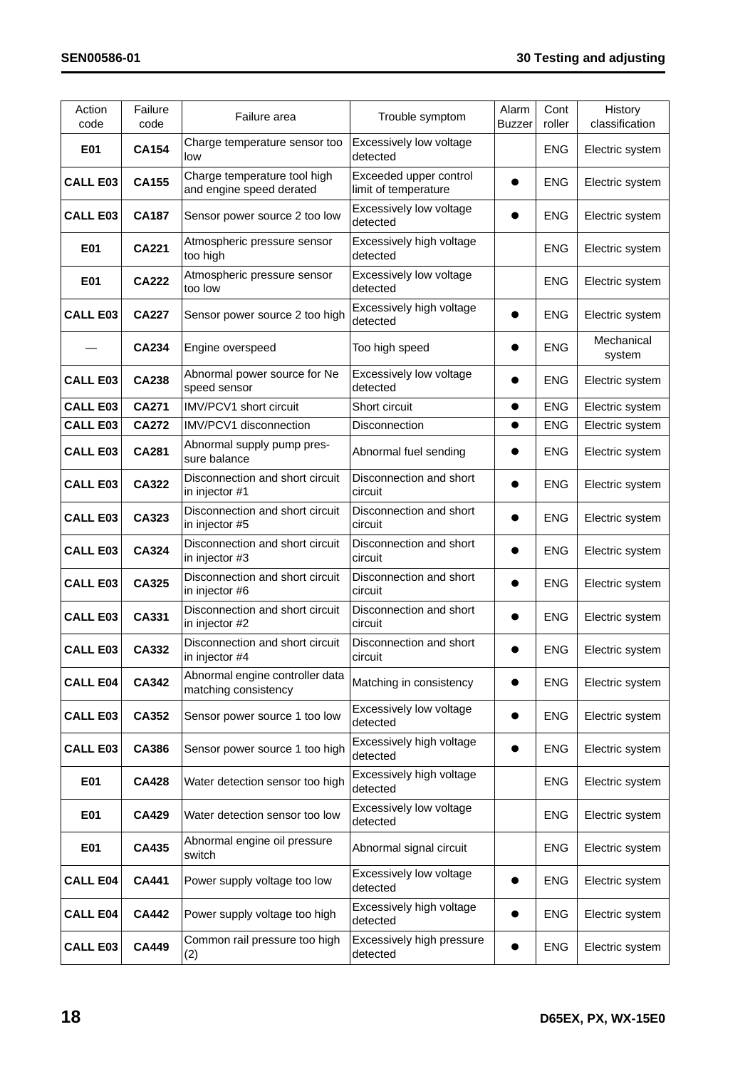| Action<br>code  | Failure<br>code | Failure area                                             | Trouble symptom                                | Alarm<br><b>Buzzer</b> | Cont<br>roller | History<br>classification |
|-----------------|-----------------|----------------------------------------------------------|------------------------------------------------|------------------------|----------------|---------------------------|
| E01             | <b>CA154</b>    | Charge temperature sensor too<br>low                     | Excessively low voltage<br>detected            |                        | <b>ENG</b>     | Electric system           |
| <b>CALL E03</b> | <b>CA155</b>    | Charge temperature tool high<br>and engine speed derated | Exceeded upper control<br>limit of temperature |                        | <b>ENG</b>     | Electric system           |
| <b>CALL E03</b> | <b>CA187</b>    | Sensor power source 2 too low                            | Excessively low voltage<br>detected            |                        | <b>ENG</b>     | Electric system           |
| E01             | <b>CA221</b>    | Atmospheric pressure sensor<br>too high                  | Excessively high voltage<br>detected           |                        | <b>ENG</b>     | Electric system           |
| E01             | CA222           | Atmospheric pressure sensor<br>too low                   | Excessively low voltage<br>detected            |                        | <b>ENG</b>     | Electric system           |
| <b>CALL E03</b> | <b>CA227</b>    | Sensor power source 2 too high                           | Excessively high voltage<br>detected           |                        | <b>ENG</b>     | Electric system           |
|                 | <b>CA234</b>    | Engine overspeed                                         | Too high speed                                 |                        | <b>ENG</b>     | Mechanical<br>system      |
| <b>CALL E03</b> | <b>CA238</b>    | Abnormal power source for Ne<br>speed sensor             | Excessively low voltage<br>detected            |                        | <b>ENG</b>     | Electric system           |
| <b>CALL E03</b> | <b>CA271</b>    | <b>IMV/PCV1 short circuit</b>                            | Short circuit                                  | $\bullet$              | <b>ENG</b>     | Electric system           |
| <b>CALL E03</b> | <b>CA272</b>    | IMV/PCV1 disconnection                                   | <b>Disconnection</b>                           | $\bullet$              | <b>ENG</b>     | Electric system           |
| <b>CALL E03</b> | <b>CA281</b>    | Abnormal supply pump pres-<br>sure balance               | Abnormal fuel sending                          |                        | <b>ENG</b>     | Electric system           |
| <b>CALL E03</b> | CA322           | Disconnection and short circuit<br>in injector #1        | Disconnection and short<br>circuit             |                        | <b>ENG</b>     | Electric system           |
| <b>CALL E03</b> | CA323           | Disconnection and short circuit<br>in injector #5        | Disconnection and short<br>circuit             |                        | <b>ENG</b>     | Electric system           |
| <b>CALL E03</b> | CA324           | Disconnection and short circuit<br>in injector #3        | Disconnection and short<br>circuit             |                        | <b>ENG</b>     | Electric system           |
| <b>CALL E03</b> | CA325           | Disconnection and short circuit<br>in injector #6        | Disconnection and short<br>circuit             |                        | <b>ENG</b>     | Electric system           |
| <b>CALL E03</b> | CA331           | Disconnection and short circuit<br>in injector #2        | Disconnection and short<br>circuit             |                        | <b>ENG</b>     | Electric system           |
| <b>CALL E03</b> | CA332           | Disconnection and short circuit<br>in injector #4        | Disconnection and short<br>circuit             |                        | <b>ENG</b>     | Electric system           |
| <b>CALL E04</b> | CA342           | Abnormal engine controller data<br>matching consistency  | Matching in consistency                        | $\bullet$              | <b>ENG</b>     | Electric system           |
| <b>CALL E03</b> | CA352           | Sensor power source 1 too low                            | Excessively low voltage<br>detected            |                        | <b>ENG</b>     | Electric system           |
| <b>CALL E03</b> | CA386           | Sensor power source 1 too high                           | Excessively high voltage<br>detected           |                        | ENG            | Electric system           |
| E01             | <b>CA428</b>    | Water detection sensor too high                          | Excessively high voltage<br>detected           |                        | <b>ENG</b>     | Electric system           |
| E01             | <b>CA429</b>    | Water detection sensor too low                           | Excessively low voltage<br>detected            |                        | ENG            | Electric system           |
| E01             | CA435           | Abnormal engine oil pressure<br>switch                   | Abnormal signal circuit                        |                        | ENG            | Electric system           |
| <b>CALL E04</b> | <b>CA441</b>    | Power supply voltage too low                             | Excessively low voltage<br>detected            |                        | ENG            | Electric system           |
| <b>CALL E04</b> | <b>CA442</b>    | Power supply voltage too high                            | Excessively high voltage<br>detected           |                        | ENG            | Electric system           |
| <b>CALL E03</b> | <b>CA449</b>    | Common rail pressure too high<br>(2)                     | Excessively high pressure<br>detected          |                        | ENG            | Electric system           |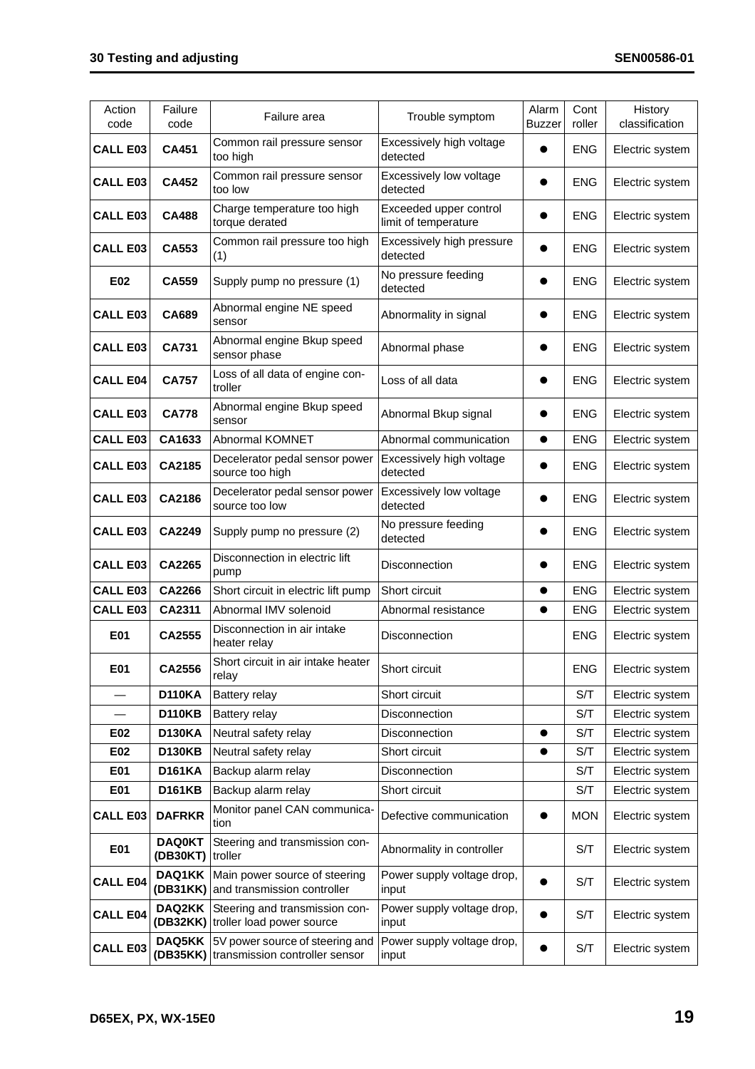| Action<br>code  | Failure<br>code           | Failure area                                                               | Trouble symptom                                | Alarm<br><b>Buzzer</b> | Cont<br>roller | History<br>classification |
|-----------------|---------------------------|----------------------------------------------------------------------------|------------------------------------------------|------------------------|----------------|---------------------------|
| <b>CALL E03</b> | <b>CA451</b>              | Common rail pressure sensor<br>too high                                    | Excessively high voltage<br>detected           |                        | <b>ENG</b>     | Electric system           |
| <b>CALL E03</b> | <b>CA452</b>              | Common rail pressure sensor<br>too low                                     | Excessively low voltage<br>detected            |                        | <b>ENG</b>     | Electric system           |
| <b>CALL E03</b> | <b>CA488</b>              | Charge temperature too high<br>torque derated                              | Exceeded upper control<br>limit of temperature |                        | <b>ENG</b>     | Electric system           |
| <b>CALL E03</b> | CA553                     | Common rail pressure too high<br>(1)                                       | Excessively high pressure<br>detected          |                        | <b>ENG</b>     | Electric system           |
| E02             | <b>CA559</b>              | Supply pump no pressure (1)                                                | No pressure feeding<br>detected                |                        | <b>ENG</b>     | Electric system           |
| <b>CALL E03</b> | CA689                     | Abnormal engine NE speed<br>sensor                                         | Abnormality in signal                          |                        | <b>ENG</b>     | Electric system           |
| <b>CALL E03</b> | <b>CA731</b>              | Abnormal engine Bkup speed<br>sensor phase                                 | Abnormal phase                                 | $\bullet$              | <b>ENG</b>     | Electric system           |
| <b>CALL E04</b> | <b>CA757</b>              | Loss of all data of engine con-<br>troller                                 | Loss of all data                               |                        | <b>ENG</b>     | Electric system           |
| <b>CALL E03</b> | <b>CA778</b>              | Abnormal engine Bkup speed<br>sensor                                       | Abnormal Bkup signal                           |                        | <b>ENG</b>     | Electric system           |
| <b>CALL E03</b> | CA1633                    | Abnormal KOMNET                                                            | Abnormal communication                         | $\bullet$              | <b>ENG</b>     | Electric system           |
| <b>CALL E03</b> | CA2185                    | Decelerator pedal sensor power<br>source too high                          | Excessively high voltage<br>detected           |                        | <b>ENG</b>     | Electric system           |
| <b>CALL E03</b> | CA2186                    | Decelerator pedal sensor power<br>source too low                           | Excessively low voltage<br>detected            |                        | <b>ENG</b>     | Electric system           |
| <b>CALL E03</b> | <b>CA2249</b>             | Supply pump no pressure (2)                                                | No pressure feeding<br>detected                |                        | <b>ENG</b>     | Electric system           |
| <b>CALL E03</b> | <b>CA2265</b>             | Disconnection in electric lift<br>pump                                     | Disconnection                                  |                        | <b>ENG</b>     | Electric system           |
| <b>CALL E03</b> | CA2266                    | Short circuit in electric lift pump                                        | Short circuit                                  | $\bullet$              | <b>ENG</b>     | Electric system           |
| <b>CALL E03</b> | CA2311                    | Abnormal IMV solenoid                                                      | Abnormal resistance                            |                        | <b>ENG</b>     | Electric system           |
| E01             | CA2555                    | Disconnection in air intake<br>heater relay                                | Disconnection                                  |                        | <b>ENG</b>     | Electric system           |
| E01             | CA2556                    | Short circuit in air intake heater<br>relay                                | Short circuit                                  |                        | <b>ENG</b>     | Electric system           |
|                 | <b>D110KA</b>             | Battery relay                                                              | Short circuit                                  |                        | S/T            | Electric system           |
|                 | <b>D110KB</b>             | <b>Battery relay</b>                                                       | Disconnection                                  |                        | S/T            | Electric system           |
| E02             | <b>D130KA</b>             | Neutral safety relay                                                       | Disconnection                                  |                        | S/T            | Electric system           |
| E02             | <b>D130KB</b>             | Neutral safety relay                                                       | Short circuit                                  | $\bullet$              | S/T            | Electric system           |
| E01             | <b>D161KA</b>             | Backup alarm relay                                                         | <b>Disconnection</b>                           |                        | S/T            | Electric system           |
| E01             | <b>D161KB</b>             | Backup alarm relay                                                         | Short circuit                                  |                        | S/T            | Electric system           |
| <b>CALL E03</b> | <b>DAFRKR</b>             | Monitor panel CAN communica-<br>tion                                       | Defective communication                        |                        | <b>MON</b>     | Electric system           |
| E01             | <b>DAQ0KT</b><br>(DB30KT) | Steering and transmission con-<br>troller                                  | Abnormality in controller                      |                        | S/T            | Electric system           |
| <b>CALL E04</b> | DAQ1KK<br>(DB31KK)        | Main power source of steering<br>and transmission controller               | Power supply voltage drop,<br>input            |                        | S/T            | Electric system           |
| <b>CALL E04</b> | DAQ2KK                    | Steering and transmission con-<br>(DB32KK) troller load power source       | Power supply voltage drop,<br>input            |                        | S/T            | Electric system           |
| <b>CALL E03</b> | DAQ5KK                    | 5V power source of steering and<br>(DB35KK) transmission controller sensor | Power supply voltage drop,<br>input            |                        | S/T            | Electric system           |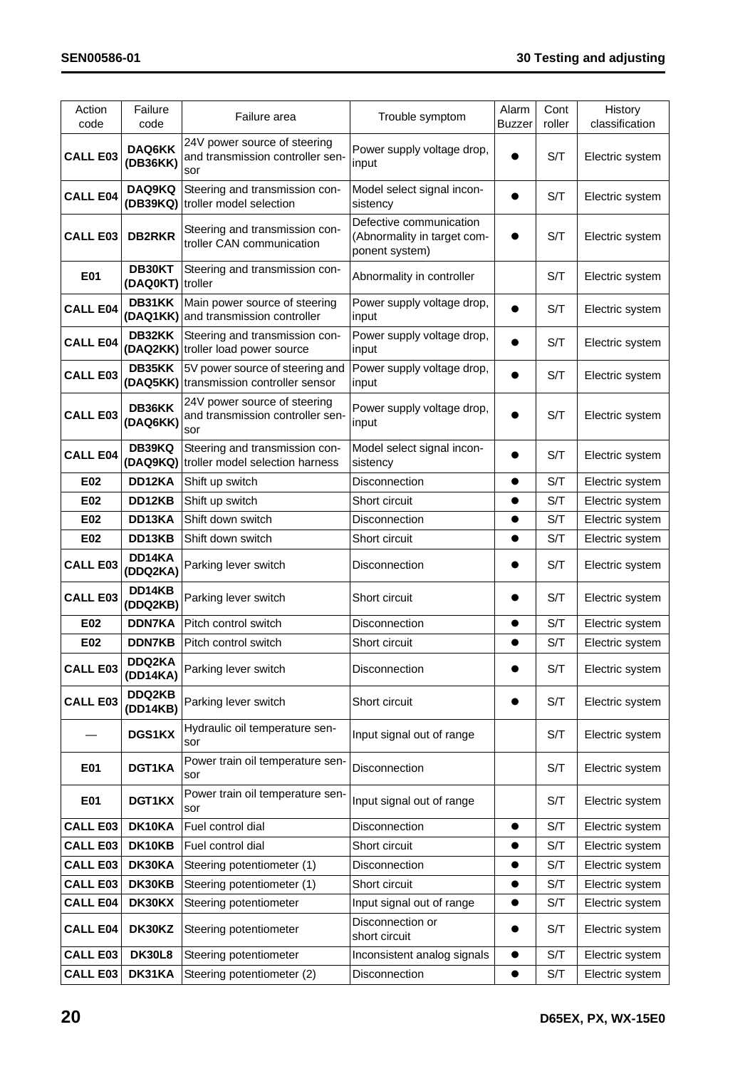| Action<br>code  | Failure<br>code    | Failure area                                                               | Trouble symptom                                                          | Alarm<br><b>Buzzer</b> | Cont<br>roller | History<br>classification |
|-----------------|--------------------|----------------------------------------------------------------------------|--------------------------------------------------------------------------|------------------------|----------------|---------------------------|
| <b>CALL E03</b> | DAQ6KK<br>(DB36KK) | 24V power source of steering<br>and transmission controller sen-<br>sor    | Power supply voltage drop,<br>input                                      |                        | S/T            | Electric system           |
| <b>CALL E04</b> | DAQ9KQ             | Steering and transmission con-<br>(DB39KQ) troller model selection         | Model select signal incon-<br>sistency                                   | $\bullet$              | S/T            | Electric system           |
| <b>CALL E03</b> | <b>DB2RKR</b>      | Steering and transmission con-<br>troller CAN communication                | Defective communication<br>(Abnormality in target com-<br>ponent system) |                        | S/T            | Electric system           |
| <b>E01</b>      | DB30KT<br>(DAQ0KT) | Steering and transmission con-<br>troller                                  | Abnormality in controller                                                |                        | S/T            | Electric system           |
| <b>CALL E04</b> | DB31KK             | Main power source of steering<br>(DAQ1KK) and transmission controller      | Power supply voltage drop,<br>input                                      |                        | S/T            | Electric system           |
| <b>CALL E04</b> | DB32KK             | Steering and transmission con-<br>(DAQ2KK) troller load power source       | Power supply voltage drop,<br>input                                      |                        | S/T            | Electric system           |
| <b>CALL E03</b> | DB35KK             | 5V power source of steering and<br>(DAQ5KK) transmission controller sensor | Power supply voltage drop,<br>input                                      |                        | S/T            | Electric system           |
| <b>CALL E03</b> | DB36KK<br>(DAQ6KK) | 24V power source of steering<br>and transmission controller sen-<br>sor    | Power supply voltage drop,<br>input                                      |                        | S/T            | Electric system           |
| <b>CALL E04</b> | DB39KQ             | Steering and transmission con-<br>(DAQ9KQ) troller model selection harness | Model select signal incon-<br>sistency                                   |                        | S/T            | Electric system           |
| E02             | DD12KA             | Shift up switch                                                            | Disconnection                                                            |                        | S/T            | Electric system           |
| E02             | DD12KB             | Shift up switch                                                            | Short circuit                                                            |                        | S/T            | Electric system           |
| E02             | DD13KA             | Shift down switch                                                          | Disconnection                                                            |                        | S/T            | Electric system           |
| E02             | DD13KB             | Shift down switch                                                          | Short circuit                                                            | $\bullet$              | S/T            | Electric system           |
| <b>CALL E03</b> | DD14KA<br>(DDQ2KA) | Parking lever switch                                                       | Disconnection                                                            |                        | S/T            | Electric system           |
| <b>CALL E03</b> | DD14KB<br>(DDQ2KB) | Parking lever switch                                                       | Short circuit                                                            |                        | S/T            | Electric system           |
| E02             | <b>DDN7KA</b>      | Pitch control switch                                                       | Disconnection                                                            | $\bullet$              | S/T            | Electric system           |
| E02             | <b>DDN7KB</b>      | Pitch control switch                                                       | Short circuit                                                            | $\bullet$              | S/T            | Electric system           |
| <b>CALL E03</b> | DDQ2KA<br>(DD14KA) | Parking lever switch                                                       | Disconnection                                                            |                        | S/T            | Electric system           |
| <b>CALL E03</b> | DDQ2KB<br>(DD14KB) | Parking lever switch                                                       | Short circuit                                                            |                        | S/T            | Electric system           |
|                 | <b>DGS1KX</b>      | Hydraulic oil temperature sen-<br>sor                                      | Input signal out of range                                                |                        | S/T            | Electric system           |
| E01             | DGT1KA             | Power train oil temperature sen-<br>sor                                    | Disconnection                                                            |                        | S/T            | Electric system           |
| E01             | DGT1KX             | Power train oil temperature sen-<br>sor                                    | Input signal out of range                                                |                        | S/T            | Electric system           |
| <b>CALL E03</b> | DK10KA             | Fuel control dial                                                          | Disconnection                                                            | $\bullet$              | S/T            | Electric system           |
| <b>CALL E03</b> | DK10KB             | Fuel control dial                                                          | Short circuit                                                            |                        | S/T            | Electric system           |
| <b>CALL E03</b> | DK30KA             | Steering potentiometer (1)                                                 | Disconnection                                                            |                        | S/T            | Electric system           |
| <b>CALL E03</b> | DK30KB             | Steering potentiometer (1)                                                 | Short circuit                                                            |                        | S/T            | Electric system           |
| <b>CALL E04</b> | DK30KX             | Steering potentiometer                                                     | Input signal out of range                                                | $\bullet$              | S/T            | Electric system           |
| <b>CALL E04</b> | DK30KZ             | Steering potentiometer                                                     | Disconnection or<br>short circuit                                        |                        | S/T            | Electric system           |
| <b>CALL E03</b> | <b>DK30L8</b>      | Steering potentiometer                                                     | Inconsistent analog signals                                              | $\bullet$              | S/T            | Electric system           |
| <b>CALL E03</b> | DK31KA             | Steering potentiometer (2)                                                 | Disconnection                                                            | $\bullet$              | S/T            | Electric system           |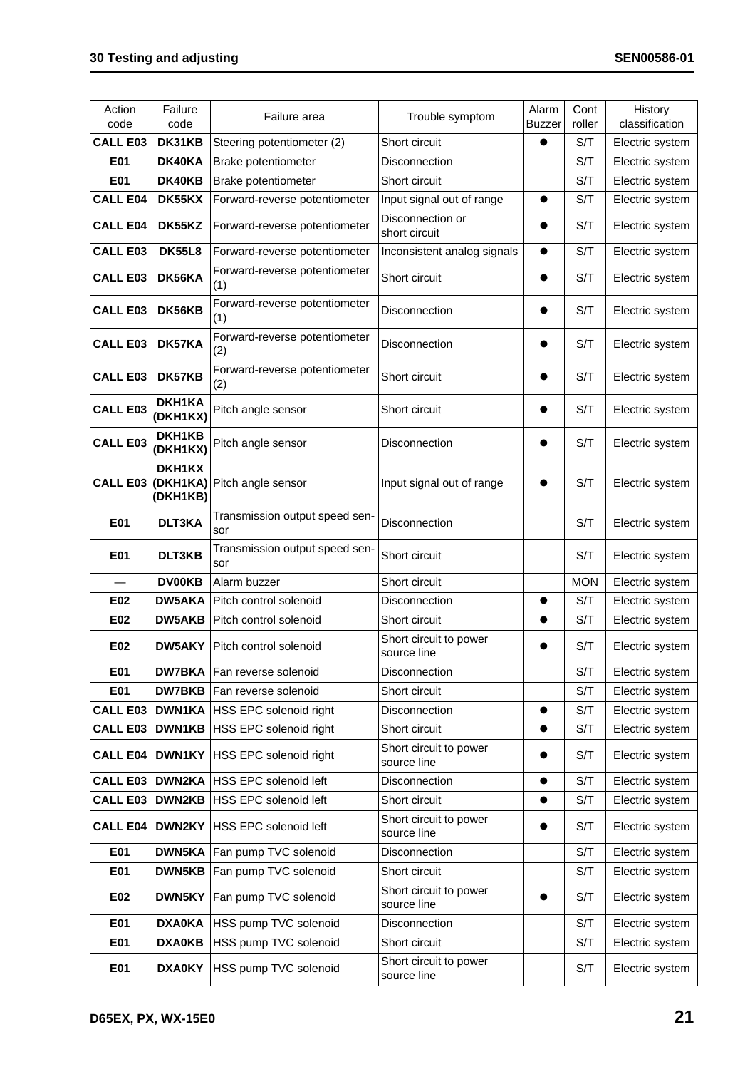| Action<br>code    | Failure<br>code    | Failure area                          | Trouble symptom                       | Alarm<br>Buzzer | Cont<br>roller | History<br>classification |
|-------------------|--------------------|---------------------------------------|---------------------------------------|-----------------|----------------|---------------------------|
| <b>CALL E03</b>   | DK31KB             | Steering potentiometer (2)            | Short circuit                         | $\bullet$       | S/T            | Electric system           |
| E01               | DK40KA             | Brake potentiometer                   | Disconnection                         |                 | S/T            | Electric system           |
| E01               | DK40KB             | Brake potentiometer                   | Short circuit                         |                 | S/T            | Electric system           |
| <b>CALL E04</b>   | DK55KX             | Forward-reverse potentiometer         | Input signal out of range             | $\bullet$       | S/T            | Electric system           |
| <b>CALL E04</b>   | DK55KZ             | Forward-reverse potentiometer         | Disconnection or<br>short circuit     |                 | S/T            | Electric system           |
| CALL E03          | <b>DK55L8</b>      | Forward-reverse potentiometer         | Inconsistent analog signals           | $\bullet$       | S/T            | Electric system           |
| <b>CALL E03</b>   | DK56KA             | Forward-reverse potentiometer<br>(1)  | Short circuit                         |                 | S/T            | Electric system           |
| <b>CALL E03</b>   | DK56KB             | Forward-reverse potentiometer<br>(1)  | Disconnection                         |                 | S/T            | Electric system           |
| <b>CALL E03</b>   | DK57KA             | Forward-reverse potentiometer<br>(2)  | Disconnection                         |                 | S/T            | Electric system           |
| <b>CALL E03</b>   | DK57KB             | Forward-reverse potentiometer<br>(2)  | Short circuit                         |                 | S/T            | Electric system           |
| <b>CALL E03</b>   | DKH1KA<br>(DKH1KX) | Pitch angle sensor                    | Short circuit                         |                 | S/T            | Electric system           |
| <b>CALL E03</b>   | DKH1KB<br>(DKH1KX) | Pitch angle sensor                    | Disconnection                         |                 | S/T            | Electric system           |
| CALL E03 (DKH1KA) | DKH1KX<br>(DKH1KB) | Pitch angle sensor                    | Input signal out of range             |                 | S/T            | Electric system           |
| E01               | DLT3KA             | Transmission output speed sen-<br>sor | Disconnection                         |                 | S/T            | Electric system           |
| E01               | DLT3KB             | Transmission output speed sen-<br>sor | Short circuit                         |                 | S/T            | Electric system           |
|                   | <b>DV00KB</b>      | Alarm buzzer                          | Short circuit                         |                 | <b>MON</b>     | Electric system           |
| E02               | <b>DW5AKA</b>      | Pitch control solenoid                | Disconnection                         | $\bullet$       | S/T            | Electric system           |
| E02               | DW5AKB             | Pitch control solenoid                | Short circuit                         |                 | S/T            | Electric system           |
| E02               | DW5AKY             | Pitch control solenoid                | Short circuit to power<br>source line |                 | S/T            | Electric system           |
| E01               |                    | <b>DW7BKA</b> Fan reverse solenoid    | Disconnection                         |                 | S/T            | Electric system           |
| E01               | <b>DW7BKB</b>      | Fan reverse solenoid                  | Short circuit                         |                 | S/T            | Electric system           |
| <b>CALL E03</b>   |                    | <b>DWN1KA HSS EPC solenoid right</b>  | <b>Disconnection</b>                  | $\bullet$       | S/T            | Electric system           |
| <b>CALL E03</b>   | DWN1KB             | HSS EPC solenoid right                | Short circuit                         | $\bullet$       | S/T            | Electric system           |
| <b>CALL E04</b>   | DWN1KY             | HSS EPC solenoid right                | Short circuit to power<br>source line |                 | S/T            | Electric system           |
| <b>CALL E03</b>   | <b>DWN2KA</b>      | <b>HSS EPC solenoid left</b>          | <b>Disconnection</b>                  | $\bullet$       | S/T            | Electric system           |
| <b>CALL E03</b>   | DWN2KB             | <b>HSS EPC solenoid left</b>          | Short circuit                         | $\bullet$       | S/T            | Electric system           |
| <b>CALL E04</b>   | DWN2KY             | <b>HSS EPC solenoid left</b>          | Short circuit to power<br>source line |                 | S/T            | Electric system           |
| E01               | <b>DWN5KA</b>      | Fan pump TVC solenoid                 | Disconnection                         |                 | S/T            | Electric system           |
| E01               | DWN5KB             | Fan pump TVC solenoid                 | Short circuit                         |                 | S/T            | Electric system           |
| E02               | DWN5KY             | Fan pump TVC solenoid                 | Short circuit to power<br>source line |                 | S/T            | Electric system           |
| E01               | <b>DXA0KA</b>      | HSS pump TVC solenoid                 | Disconnection                         |                 | S/T            | Electric system           |
| E01               | <b>DXA0KB</b>      | HSS pump TVC solenoid                 | Short circuit                         |                 | S/T            | Electric system           |
| E01               | <b>DXA0KY</b>      | HSS pump TVC solenoid                 | Short circuit to power<br>source line |                 | S/T            | Electric system           |